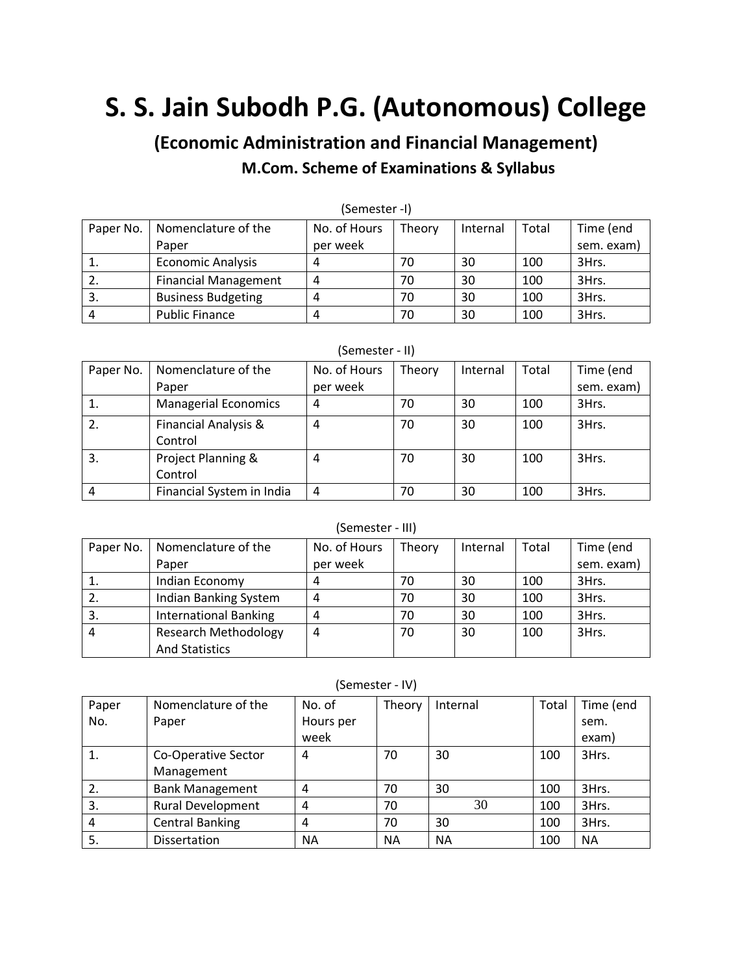# **S. S. Jain Subodh P.G. (Autonomous) College**

**(Economic Administration and Financial Management)**

## **M.Com. Scheme of Examinations & Syllabus**

| ור- ושגפווופטן |                             |              |        |          |       |            |
|----------------|-----------------------------|--------------|--------|----------|-------|------------|
| Paper No.      | Nomenclature of the         | No. of Hours | Theory | Internal | Total | Time (end  |
|                | Paper                       | per week     |        |          |       | sem. exam) |
|                | <b>Economic Analysis</b>    | 4            | 70     | 30       | 100   | 3Hrs.      |
| z.             | <b>Financial Management</b> | 4            | 70     | 30       | 100   | 3Hrs.      |
| 3.             | <b>Business Budgeting</b>   | Δ            | 70     | 30       | 100   | 3Hrs.      |
| 4              | <b>Public Finance</b>       | 4            | 70     | 30       | 100   | 3Hrs.      |

(Semester -I)

#### (Semester - II)

| Paper No. | Nomenclature of the         | No. of Hours | Theory | Internal | Total | Time (end  |
|-----------|-----------------------------|--------------|--------|----------|-------|------------|
|           | Paper                       | per week     |        |          |       | sem. exam) |
|           | <b>Managerial Economics</b> | 4            | 70     | 30       | 100   | 3Hrs.      |
| 2.        | Financial Analysis &        | 4            | 70     | 30       | 100   | 3Hrs.      |
|           | Control                     |              |        |          |       |            |
| 3.        | Project Planning &          | 4            | 70     | 30       | 100   | 3Hrs.      |
|           | Control                     |              |        |          |       |            |
| 4         | Financial System in India   | 4            | 70     | 30       | 100   | 3Hrs.      |

#### (Semester - III)

| Paper No. | Nomenclature of the          | No. of Hours | Theory | Internal | Total | Time (end  |
|-----------|------------------------------|--------------|--------|----------|-------|------------|
|           | Paper                        | per week     |        |          |       | sem. exam) |
|           | Indian Economy               | 4            | 70     | 30       | 100   | 3Hrs.      |
| 2.        | Indian Banking System        | 4            | 70     | 30       | 100   | 3Hrs.      |
| 3.        | <b>International Banking</b> | 4            | 70     | 30       | 100   | 3Hrs.      |
|           | <b>Research Methodology</b>  | 4            | 70     | 30       | 100   | 3Hrs.      |
|           | <b>And Statistics</b>        |              |        |          |       |            |

(Semester - IV)

| Paper | Nomenclature of the      | No. of    | Theory    | Internal | Total | Time (end |
|-------|--------------------------|-----------|-----------|----------|-------|-----------|
| No.   | Paper                    | Hours per |           |          |       | sem.      |
|       |                          | week      |           |          |       | exam)     |
| 1.    | Co-Operative Sector      | 4         | 70        | 30       | 100   | 3Hrs.     |
|       | Management               |           |           |          |       |           |
| 2.    | <b>Bank Management</b>   | 4         | 70        | 30       | 100   | 3Hrs.     |
| 3.    | <b>Rural Development</b> | 4         | 70        | 30       | 100   | 3Hrs.     |
| 4     | <b>Central Banking</b>   | 4         | 70        | 30       | 100   | 3Hrs.     |
| 5.    | Dissertation             | <b>NA</b> | <b>NA</b> | ΝA       | 100   | <b>NA</b> |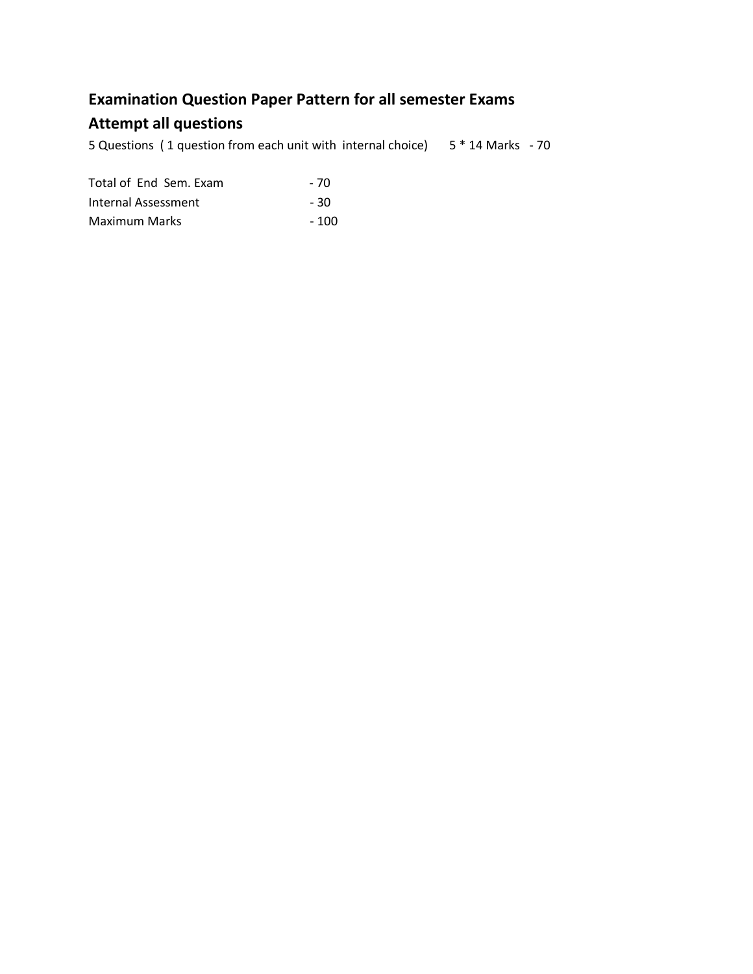## **Examination Question Paper Pattern for all semester Exams**

## **Attempt all questions**

5 Questions ( 1 question from each unit with internal choice) 5 \* 14 Marks - 70

| Total of End Sem. Exam | - 70  |
|------------------------|-------|
| Internal Assessment    | - 30  |
| Maximum Marks          | - 100 |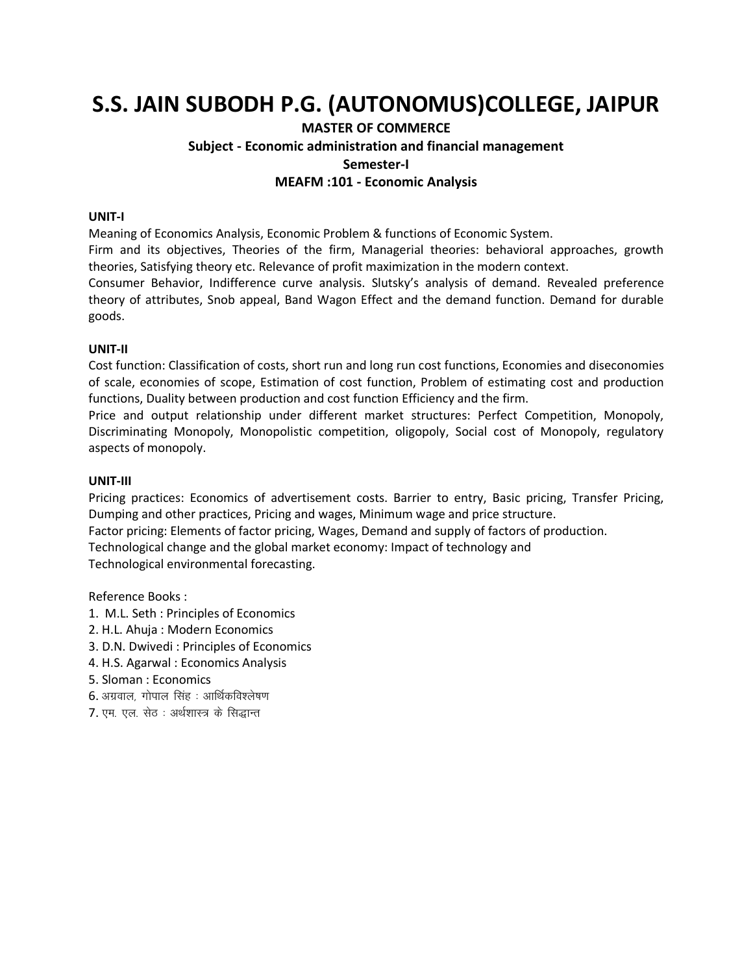## **S.S. JAIN SUBODH P.G. (AUTONOMUS)COLLEGE, JAIPUR**

## **MASTER OF COMMERCE Subject - Economic administration and financial management Semester-I MEAFM :101 - Economic Analysis**

#### **UNIT-I**

Meaning of Economics Analysis, Economic Problem & functions of Economic System.

Firm and its objectives, Theories of the firm, Managerial theories: behavioral approaches, growth theories, Satisfying theory etc. Relevance of profit maximization in the modern context.

Consumer Behavior, Indifference curve analysis. Slutsky's analysis of demand. Revealed preference theory of attributes, Snob appeal, Band Wagon Effect and the demand function. Demand for durable goods.

#### **UNIT-II**

Cost function: Classification of costs, short run and long run cost functions, Economies and diseconomies of scale, economies of scope, Estimation of cost function, Problem of estimating cost and production functions, Duality between production and cost function Efficiency and the firm.

Price and output relationship under different market structures: Perfect Competition, Monopoly, Discriminating Monopoly, Monopolistic competition, oligopoly, Social cost of Monopoly, regulatory aspects of monopoly.

#### **UNIT-III**

Pricing practices: Economics of advertisement costs. Barrier to entry, Basic pricing, Transfer Pricing, Dumping and other practices, Pricing and wages, Minimum wage and price structure.

Factor pricing: Elements of factor pricing, Wages, Demand and supply of factors of production.

Technological change and the global market economy: Impact of technology and

Technological environmental forecasting.

- 1. M.L. Seth : Principles of Economics
- 2. H.L. Ahuja : Modern Economics
- 3. D.N. Dwivedi : Principles of Economics
- 4. H.S. Agarwal : Economics Analysis
- 5. Sloman : Economics
- $6.$  अग्रवाल, गोपाल सिंह $\therefore$  आर्थिकविश्लेषण
- 7. एम. एल. सेठ : अर्थशास्त्र के सिद्धान्त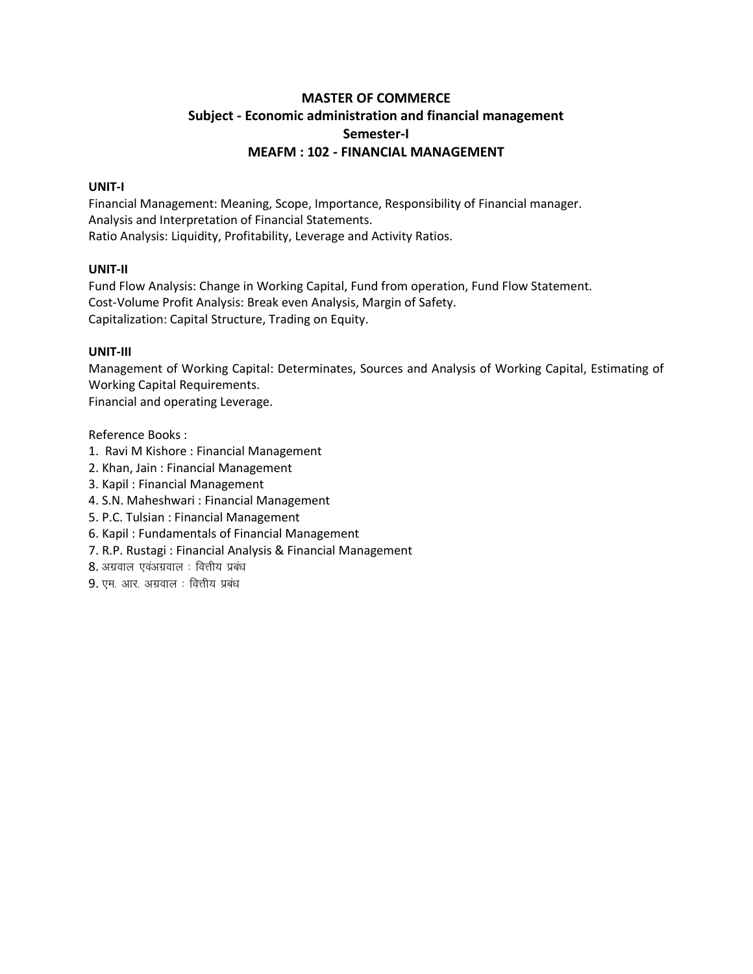## **MASTER OF COMMERCE Subject - Economic administration and financial management Semester-I MEAFM : 102 - FINANCIAL MANAGEMENT**

#### **UNIT-I**

Financial Management: Meaning, Scope, Importance, Responsibility of Financial manager. Analysis and Interpretation of Financial Statements. Ratio Analysis: Liquidity, Profitability, Leverage and Activity Ratios.

#### **UNIT-II**

Fund Flow Analysis: Change in Working Capital, Fund from operation, Fund Flow Statement. Cost-Volume Profit Analysis: Break even Analysis, Margin of Safety. Capitalization: Capital Structure, Trading on Equity.

#### **UNIT-III**

Management of Working Capital: Determinates, Sources and Analysis of Working Capital, Estimating of Working Capital Requirements.

Financial and operating Leverage.

- 1. Ravi M Kishore : Financial Management
- 2. Khan, Jain : Financial Management
- 3. Kapil : Financial Management
- 4. S.N. Maheshwari : Financial Management
- 5. P.C. Tulsian : Financial Management
- 6. Kapil : Fundamentals of Financial Management
- 7. R.P. Rustagi : Financial Analysis & Financial Management
- $8.$  अग्रवाल एवंअग्रवाल : वित्तीय प्रबंध
- $9.$  एम. आर. अग्रवाल : वित्तीय प्रबंध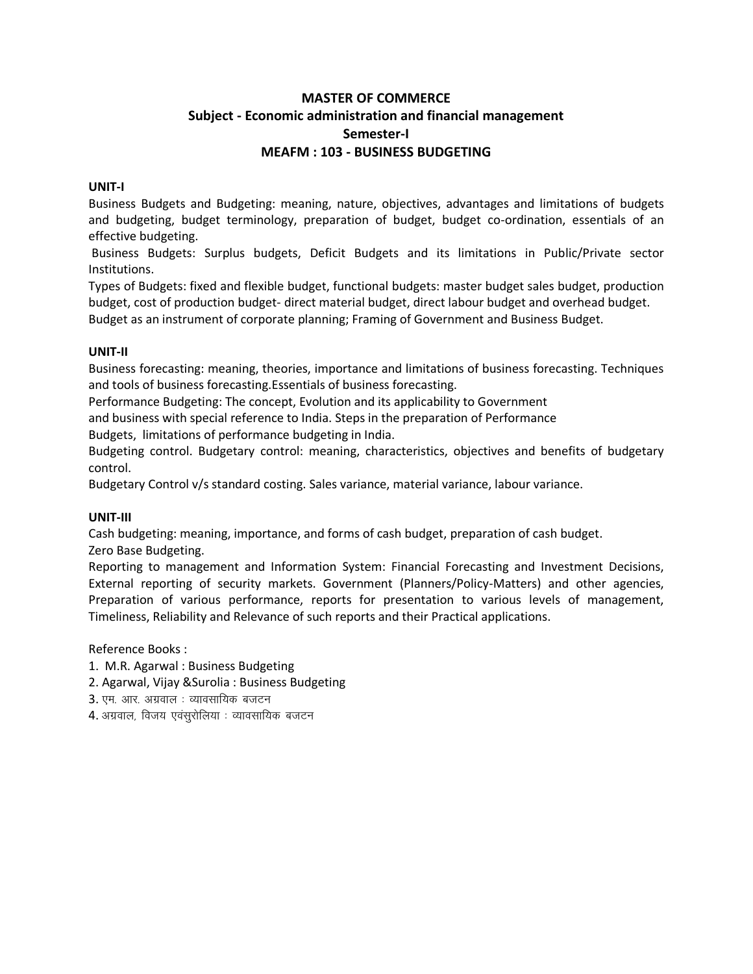## **MASTER OF COMMERCE Subject - Economic administration and financial management Semester-I MEAFM : 103 - BUSINESS BUDGETING**

#### **UNIT-I**

Business Budgets and Budgeting: meaning, nature, objectives, advantages and limitations of budgets and budgeting, budget terminology, preparation of budget, budget co-ordination, essentials of an effective budgeting.

Business Budgets: Surplus budgets, Deficit Budgets and its limitations in Public/Private sector Institutions.

Types of Budgets: fixed and flexible budget, functional budgets: master budget sales budget, production budget, cost of production budget- direct material budget, direct labour budget and overhead budget. Budget as an instrument of corporate planning; Framing of Government and Business Budget.

#### **UNIT-II**

Business forecasting: meaning, theories, importance and limitations of business forecasting. Techniques and tools of business forecasting.Essentials of business forecasting.

Performance Budgeting: The concept, Evolution and its applicability to Government

and business with special reference to India. Steps in the preparation of Performance

Budgets, limitations of performance budgeting in India.

Budgeting control. Budgetary control: meaning, characteristics, objectives and benefits of budgetary control.

Budgetary Control v/s standard costing. Sales variance, material variance, labour variance.

#### **UNIT-III**

Cash budgeting: meaning, importance, and forms of cash budget, preparation of cash budget.

Zero Base Budgeting.

Reporting to management and Information System: Financial Forecasting and Investment Decisions, External reporting of security markets. Government (Planners/Policy-Matters) and other agencies, Preparation of various performance, reports for presentation to various levels of management, Timeliness, Reliability and Relevance of such reports and their Practical applications.

- 1. M.R. Agarwal : Business Budgeting
- 2. Agarwal, Vijay &Surolia : Business Budgeting
- $3.$  एम. आर. अग्रवाल : व्यावसायिक बजटन
- $4.$  अग्रवाल, विजय एवंसूरोलिया: व्यावसायिक बजटन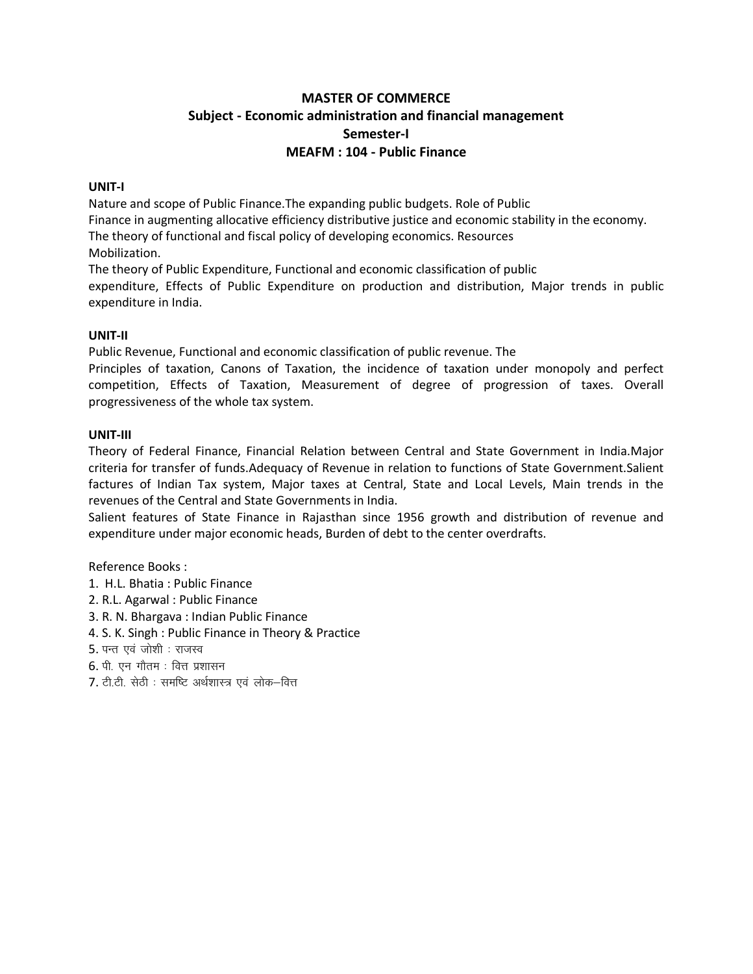## **MASTER OF COMMERCE** Subject - Economic administration and financial management Semester-I **MEAFM: 104 - Public Finance**

#### UNIT-I

Nature and scope of Public Finance. The expanding public budgets. Role of Public

Finance in augmenting allocative efficiency distributive justice and economic stability in the economy.

The theory of functional and fiscal policy of developing economics. Resources

Mobilization.

The theory of Public Expenditure, Functional and economic classification of public

expenditure, Effects of Public Expenditure on production and distribution, Major trends in public expenditure in India.

#### UNIT-II

Public Revenue, Functional and economic classification of public revenue. The

Principles of taxation, Canons of Taxation, the incidence of taxation under monopoly and perfect competition, Effects of Taxation, Measurement of degree of progression of taxes. Overall progressiveness of the whole tax system.

#### UNIT-III

Theory of Federal Finance, Financial Relation between Central and State Government in India.Major criteria for transfer of funds. Adequacy of Revenue in relation to functions of State Government. Salient factures of Indian Tax system, Major taxes at Central, State and Local Levels, Main trends in the revenues of the Central and State Governments in India.

Salient features of State Finance in Rajasthan since 1956 growth and distribution of revenue and expenditure under major economic heads, Burden of debt to the center overdrafts.

- 1. H.L. Bhatia: Public Finance
- 2. R.L. Agarwal: Public Finance
- 3. R. N. Bhargava: Indian Public Finance
- 4. S. K. Singh: Public Finance in Theory & Practice
- 5. पन्त एवं जोशी : राजस्व
- $6.$  पी. एन गौतम: वित्त प्रशासन
- 7. टी.टी. सेठी: समष्टि अर्थशास्त्र एवं लोक-वित्त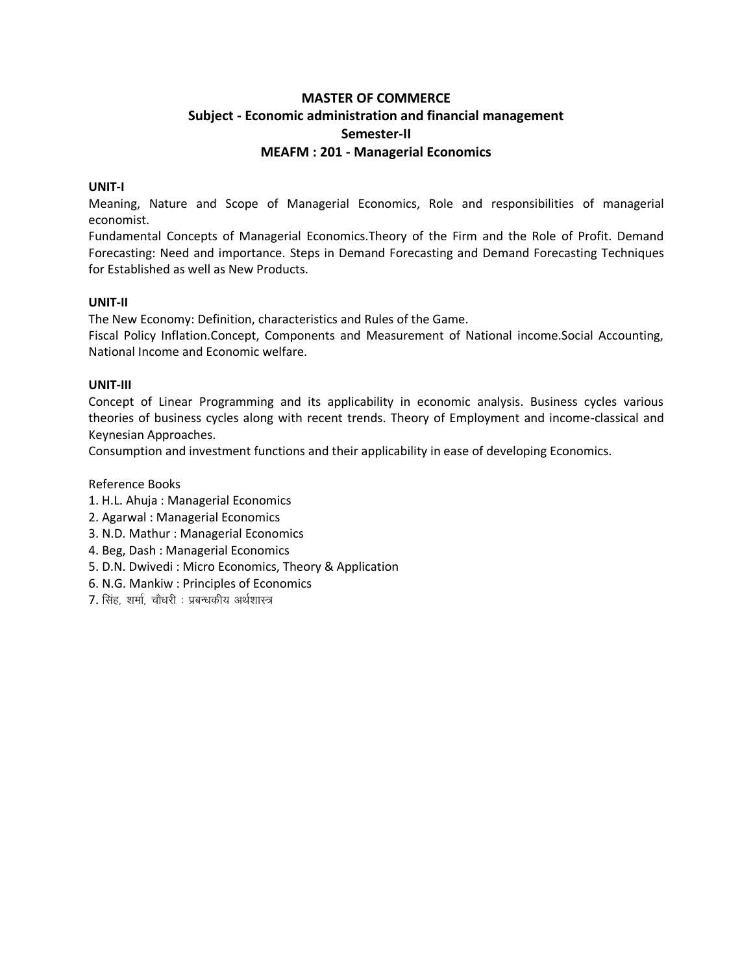## **MASTER OF COMMERCE Subject - Economic administration and financial management Semester-II MEAFM : 201 - Managerial Economics**

#### **UNIT-I**

Meaning, Nature and Scope of Managerial Economics, Role and responsibilities of managerial economist.

Fundamental Concepts of Managerial Economics.Theory of the Firm and the Role of Profit. Demand Forecasting: Need and importance. Steps in Demand Forecasting and Demand Forecasting Techniques for Established as well as New Products.

#### **UNIT-II**

The New Economy: Definition, characteristics and Rules of the Game.

Fiscal Policy Inflation.Concept, Components and Measurement of National income.Social Accounting, National Income and Economic welfare.

#### **UNIT-III**

Concept of Linear Programming and its applicability in economic analysis. Business cycles various theories of business cycles along with recent trends. Theory of Employment and income-classical and Keynesian Approaches.

Consumption and investment functions and their applicability in ease of developing Economics.

- 1. H.L. Ahuja : Managerial Economics
- 2. Agarwal : Managerial Economics
- 3. N.D. Mathur : Managerial Economics
- 4. Beg, Dash : Managerial Economics
- 5. D.N. Dwivedi : Micro Economics, Theory & Application
- 6. N.G. Mankiw : Principles of Economics
- 7. सिंह, शर्मा, चौधरी : प्रबन्धकीय अर्थशास्त्र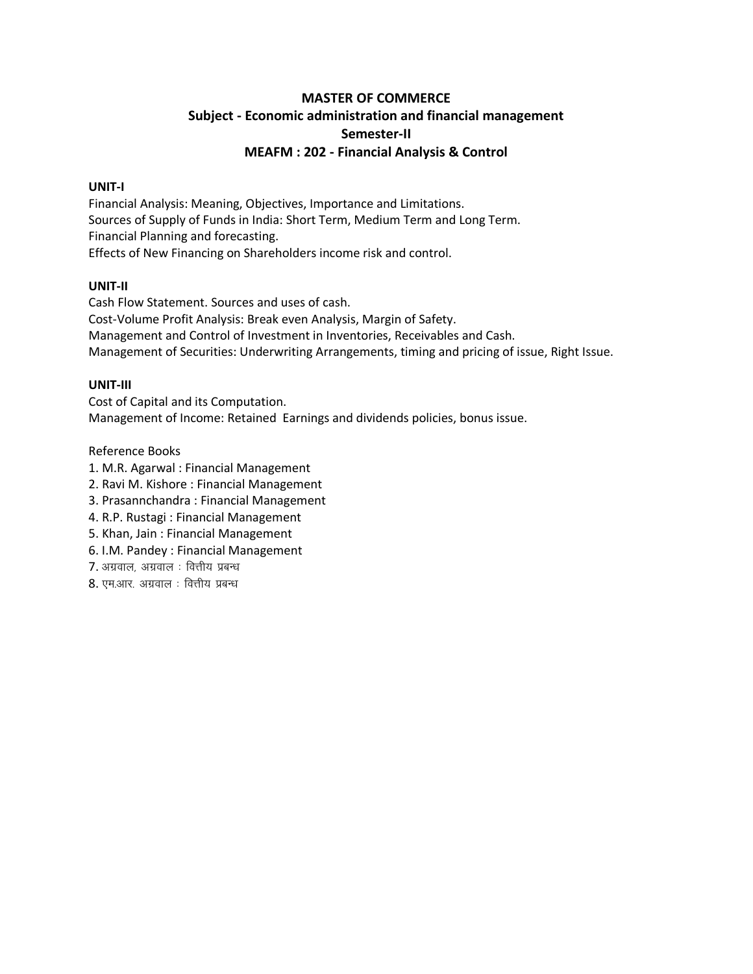## **MASTER OF COMMERCE Subject - Economic administration and financial management Semester-II MEAFM : 202 - Financial Analysis & Control**

#### **UNIT-I**

Financial Analysis: Meaning, Objectives, Importance and Limitations. Sources of Supply of Funds in India: Short Term, Medium Term and Long Term. Financial Planning and forecasting. Effects of New Financing on Shareholders income risk and control.

#### **UNIT-II**

Cash Flow Statement. Sources and uses of cash. Cost-Volume Profit Analysis: Break even Analysis, Margin of Safety. Management and Control of Investment in Inventories, Receivables and Cash. Management of Securities: Underwriting Arrangements, timing and pricing of issue, Right Issue.

#### **UNIT-III**

Cost of Capital and its Computation. Management of Income: Retained Earnings and dividends policies, bonus issue.

- 1. M.R. Agarwal : Financial Management
- 2. Ravi M. Kishore : Financial Management
- 3. Prasannchandra : Financial Management
- 4. R.P. Rustagi : Financial Management
- 5. Khan, Jain : Financial Management
- 6. I.M. Pandey : Financial Management
- $7.$  अग्रवाल, अग्रवाल: वित्तीय प्रबन्ध
- $8.$  एम.आर. अग्रवाल : वित्तीय प्रबन्ध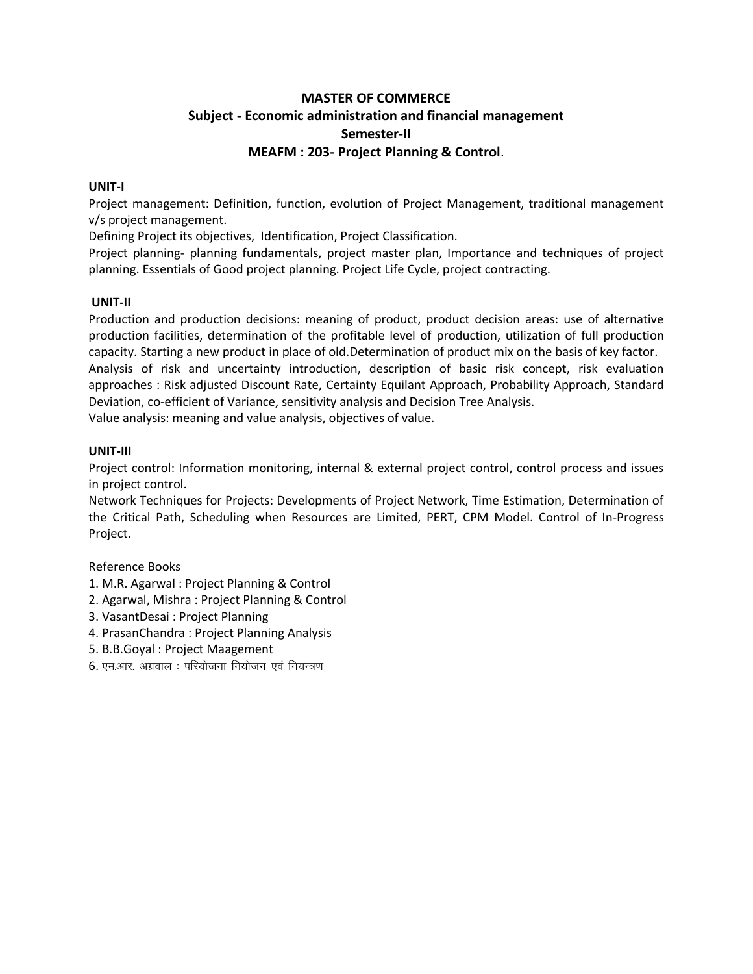## **MASTER OF COMMERCE Subject - Economic administration and financial management Semester-II MEAFM : 203- Project Planning & Control**.

#### **UNIT-I**

Project management: Definition, function, evolution of Project Management, traditional management v/s project management.

Defining Project its objectives, Identification, Project Classification.

Project planning- planning fundamentals, project master plan, Importance and techniques of project planning. Essentials of Good project planning. Project Life Cycle, project contracting.

#### **UNIT-II**

Production and production decisions: meaning of product, product decision areas: use of alternative production facilities, determination of the profitable level of production, utilization of full production capacity. Starting a new product in place of old.Determination of product mix on the basis of key factor. Analysis of risk and uncertainty introduction, description of basic risk concept, risk evaluation approaches : Risk adjusted Discount Rate, Certainty Equilant Approach, Probability Approach, Standard Deviation, co-efficient of Variance, sensitivity analysis and Decision Tree Analysis.

Value analysis: meaning and value analysis, objectives of value.

#### **UNIT-III**

Project control: Information monitoring, internal & external project control, control process and issues in project control.

Network Techniques for Projects: Developments of Project Network, Time Estimation, Determination of the Critical Path, Scheduling when Resources are Limited, PERT, CPM Model. Control of In-Progress Project.

- 1. M.R. Agarwal : Project Planning & Control
- 2. Agarwal, Mishra : Project Planning & Control
- 3. VasantDesai : Project Planning
- 4. PrasanChandra : Project Planning Analysis
- 5. B.B.Goyal : Project Maagement
- $6.$  एम.आर. अग्रवाल: परियोजना नियोजन एवं नियन्त्रण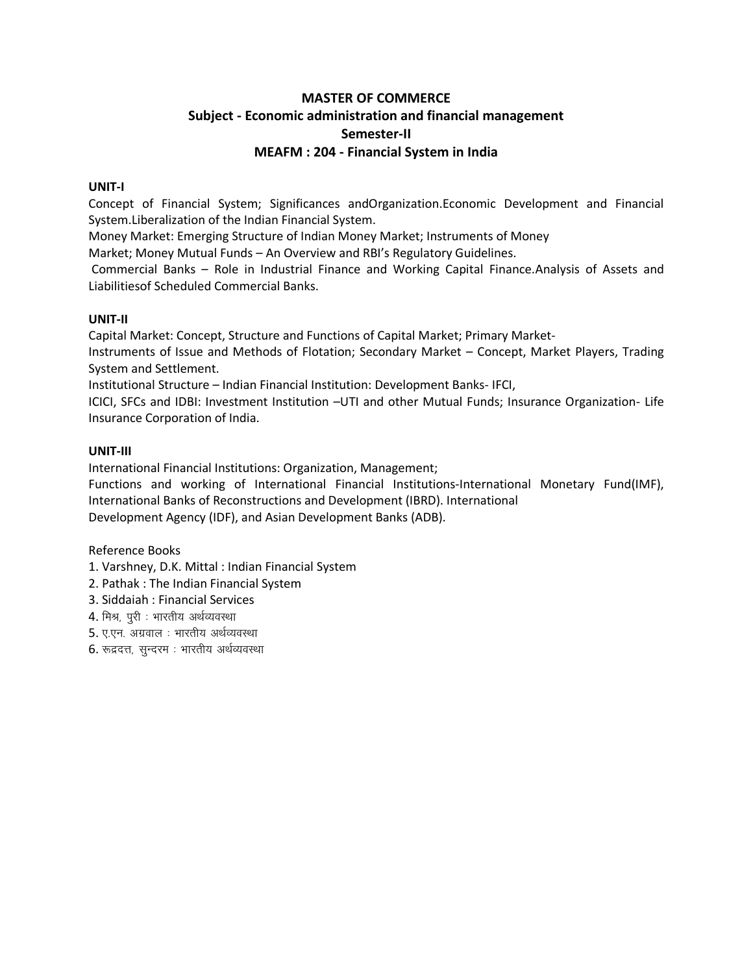## **MASTER OF COMMERCE Subject - Economic administration and financial management Semester-II MEAFM : 204 - Financial System in India**

#### **UNIT-I**

Concept of Financial System; Significances andOrganization.Economic Development and Financial System.Liberalization of the Indian Financial System.

Money Market: Emerging Structure of Indian Money Market; Instruments of Money

Market; Money Mutual Funds – An Overview and RBI's Regulatory Guidelines.

Commercial Banks – Role in Industrial Finance and Working Capital Finance.Analysis of Assets and Liabilitiesof Scheduled Commercial Banks.

#### **UNIT-II**

Capital Market: Concept, Structure and Functions of Capital Market; Primary Market-

Instruments of Issue and Methods of Flotation; Secondary Market – Concept, Market Players, Trading System and Settlement.

Institutional Structure – Indian Financial Institution: Development Banks- IFCI,

ICICI, SFCs and IDBI: Investment Institution –UTI and other Mutual Funds; Insurance Organization- Life Insurance Corporation of India.

#### **UNIT-III**

International Financial Institutions: Organization, Management;

Functions and working of International Financial Institutions-International Monetary Fund(IMF), International Banks of Reconstructions and Development (IBRD). International Development Agency (IDF), and Asian Development Banks (ADB).

- 1. Varshney, D.K. Mittal : Indian Financial System
- 2. Pathak : The Indian Financial System
- 3. Siddaiah : Financial Services
- 4. मिश्र, पूरी : भारतीय अर्थव्यवस्था
- 5. ए.एन. अग्रवाल : भारतीय अर्थव्यवस्था
- 6. रूद्रदत्त, सुन्दरम: भारतीय अर्थव्यवस्था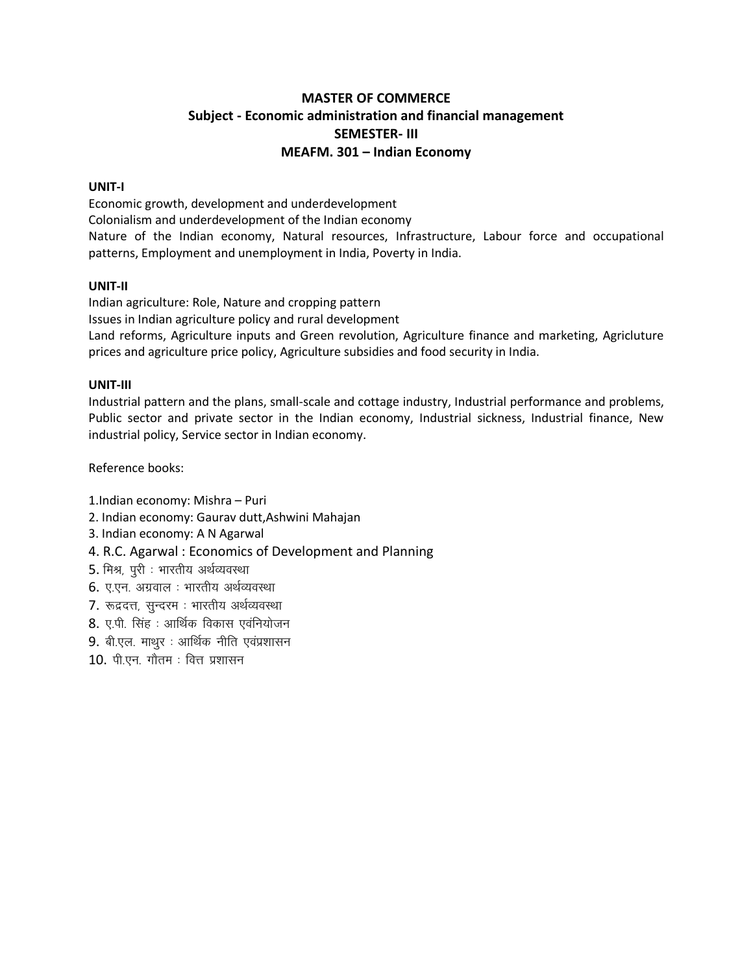## **MASTER OF COMMERCE** Subject - Economic administration and financial management **SEMESTER-III** MEAFM. 301 - Indian Economy

#### UNIT-I

Economic growth, development and underdevelopment Colonialism and underdevelopment of the Indian economy Nature of the Indian economy, Natural resources, Infrastructure, Labour force and occupational patterns, Employment and unemployment in India, Poverty in India.

#### UNIT-II

Indian agriculture: Role, Nature and cropping pattern Issues in Indian agriculture policy and rural development Land reforms, Agriculture inputs and Green revolution, Agriculture finance and marketing, Agricluture prices and agriculture price policy, Agriculture subsidies and food security in India.

#### UNIT-III

Industrial pattern and the plans, small-scale and cottage industry, Industrial performance and problems, Public sector and private sector in the Indian economy, Industrial sickness, Industrial finance, New industrial policy, Service sector in Indian economy.

Reference books:

1.Indian economy: Mishra - Puri

- 2. Indian economy: Gaurav dutt, Ashwini Mahajan
- 3. Indian economy: A N Agarwal
- 4. R.C. Agarwal: Economics of Development and Planning
- 5. मिश्र, पुरी : भारतीय अर्थव्यवस्था
- 6. ए.एन. अग्रवाल : भारतीय अर्थव्यवस्था
- 7. रूद्रदत्त, सुन्दरम: भारतीय अर्थव्यवस्था
- 8. ए.पी. सिंह : आर्थिक विकास एवनियोजन
- 9. बी.एल. माथूर : आर्थिक नीति एवंप्रशासन
- $10.$  पी.एन. गौतम: वित्त प्रशासन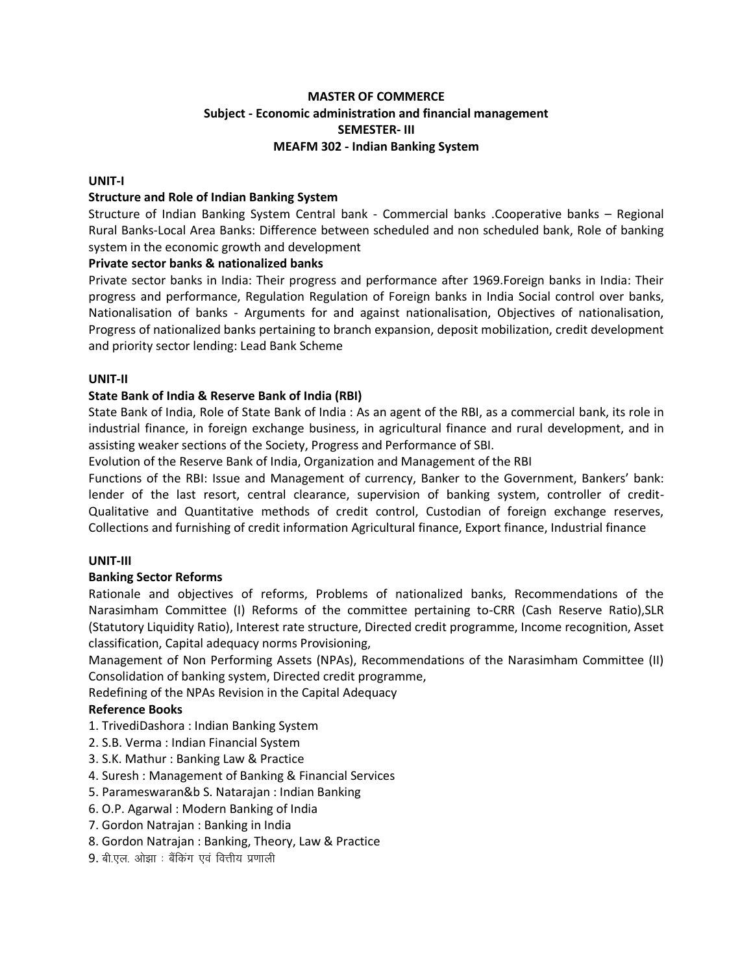#### **MASTER OF COMMERCE Subject - Economic administration and financial management SEMESTER- III MEAFM 302 - Indian Banking System**

#### **UNIT-I**

#### **Structure and Role of Indian Banking System**

Structure of Indian Banking System Central bank - Commercial banks .Cooperative banks – Regional Rural Banks-Local Area Banks: Difference between scheduled and non scheduled bank, Role of banking system in the economic growth and development

#### **Private sector banks & nationalized banks**

Private sector banks in India: Their progress and performance after 1969.Foreign banks in India: Their progress and performance, Regulation Regulation of Foreign banks in India Social control over banks, Nationalisation of banks - Arguments for and against nationalisation, Objectives of nationalisation, Progress of nationalized banks pertaining to branch expansion, deposit mobilization, credit development and priority sector lending: Lead Bank Scheme

#### **UNIT-II**

#### **State Bank of India & Reserve Bank of India (RBI)**

State Bank of India, Role of State Bank of India : As an agent of the RBI, as a commercial bank, its role in industrial finance, in foreign exchange business, in agricultural finance and rural development, and in assisting weaker sections of the Society, Progress and Performance of SBI.

Evolution of the Reserve Bank of India, Organization and Management of the RBI

Functions of the RBI: Issue and Management of currency, Banker to the Government, Bankers' bank: lender of the last resort, central clearance, supervision of banking system, controller of credit-Qualitative and Quantitative methods of credit control, Custodian of foreign exchange reserves, Collections and furnishing of credit information Agricultural finance, Export finance, Industrial finance

#### **UNIT-III**

#### **Banking Sector Reforms**

Rationale and objectives of reforms, Problems of nationalized banks, Recommendations of the Narasimham Committee (I) Reforms of the committee pertaining to-CRR (Cash Reserve Ratio),SLR (Statutory Liquidity Ratio), Interest rate structure, Directed credit programme, Income recognition, Asset classification, Capital adequacy norms Provisioning,

Management of Non Performing Assets (NPAs), Recommendations of the Narasimham Committee (II) Consolidation of banking system, Directed credit programme,

Redefining of the NPAs Revision in the Capital Adequacy

- 1. TrivediDashora : Indian Banking System
- 2. S.B. Verma : Indian Financial System
- 3. S.K. Mathur : Banking Law & Practice
- 4. Suresh : Management of Banking & Financial Services
- 5. Parameswaran&b S. Natarajan : Indian Banking
- 6. O.P. Agarwal : Modern Banking of India
- 7. Gordon Natrajan : Banking in India
- 8. Gordon Natrajan : Banking, Theory, Law & Practice
- $9.$  बी.एल. ओझा: बैंकिंग एवं वित्तीय प्रणाली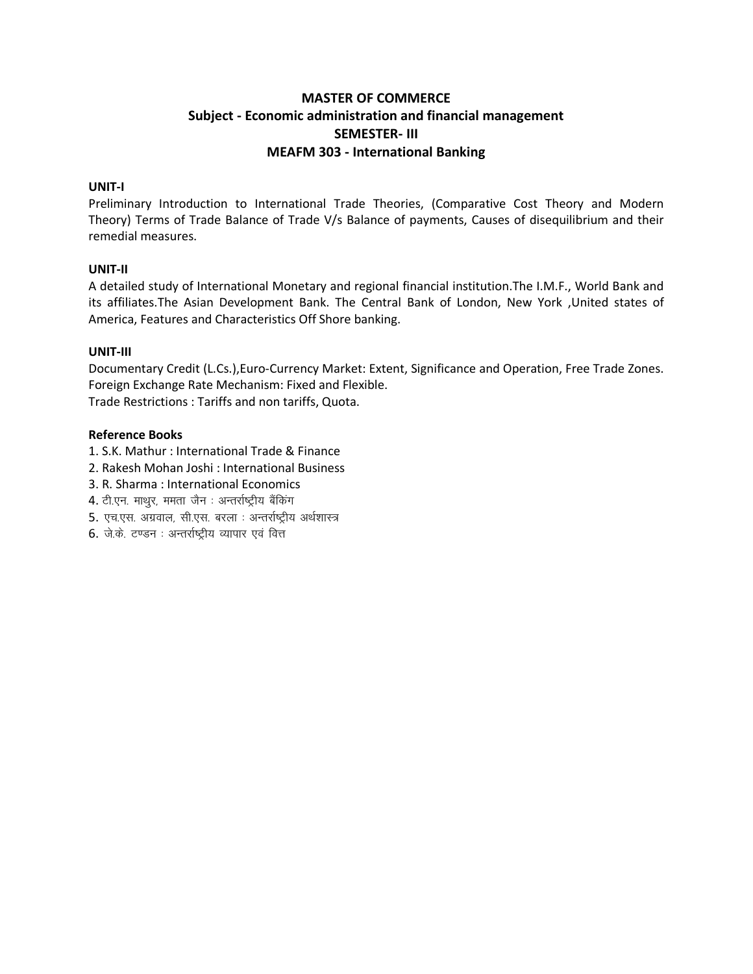## **MASTER OF COMMERCE** Subject - Economic administration and financial management **SEMESTER-III MEAFM 303 - International Banking**

#### UNIT-I

Preliminary Introduction to International Trade Theories, (Comparative Cost Theory and Modern Theory) Terms of Trade Balance of Trade V/s Balance of payments, Causes of disequilibrium and their remedial measures.

#### UNIT-II

A detailed study of International Monetary and regional financial institution. The I.M.F., World Bank and its affiliates. The Asian Development Bank. The Central Bank of London, New York , United states of America, Features and Characteristics Off Shore banking.

#### UNIT-III

Documentary Credit (L.Cs.), Euro-Currency Market: Extent, Significance and Operation, Free Trade Zones. Foreign Exchange Rate Mechanism: Fixed and Flexible.

Trade Restrictions: Tariffs and non tariffs, Quota.

- 1. S.K. Mathur: International Trade & Finance
- 2. Rakesh Mohan Joshi: International Business
- 3. R. Sharma: International Economics
- 4. टी.एन. माथुर, ममता जैन : अन्तर्राष्ट्रीय बैंकिंग
- 5. एच.एस. अग्रवाल, सी.एस. बरला : अन्तर्राष्ट्रीय अर्थशास्त्र
- 6. जे.के. टण्डन: अन्तर्राष्ट्रीय व्यापार एवं वित्त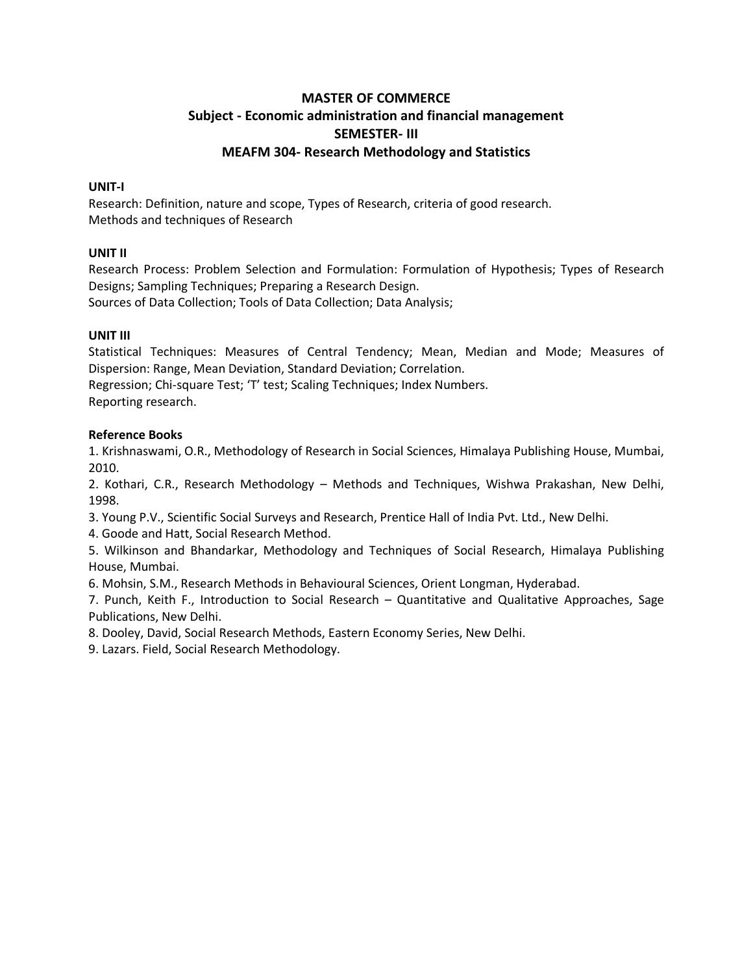## **MASTER OF COMMERCE Subject - Economic administration and financial management SEMESTER- III MEAFM 304- Research Methodology and Statistics**

#### **UNIT-I**

Research: Definition, nature and scope, Types of Research, criteria of good research. Methods and techniques of Research

#### **UNIT II**

Research Process: Problem Selection and Formulation: Formulation of Hypothesis; Types of Research Designs; Sampling Techniques; Preparing a Research Design.

Sources of Data Collection; Tools of Data Collection; Data Analysis;

#### **UNIT III**

Statistical Techniques: Measures of Central Tendency; Mean, Median and Mode; Measures of Dispersion: Range, Mean Deviation, Standard Deviation; Correlation.

Regression; Chi-square Test; 'T' test; Scaling Techniques; Index Numbers. Reporting research.

#### **Reference Books**

1. Krishnaswami, O.R., Methodology of Research in Social Sciences, Himalaya Publishing House, Mumbai, 2010.

2. Kothari, C.R., Research Methodology – Methods and Techniques, Wishwa Prakashan, New Delhi, 1998.

3. Young P.V., Scientific Social Surveys and Research, Prentice Hall of India Pvt. Ltd., New Delhi.

4. Goode and Hatt, Social Research Method.

5. Wilkinson and Bhandarkar, Methodology and Techniques of Social Research, Himalaya Publishing House, Mumbai.

6. Mohsin, S.M., Research Methods in Behavioural Sciences, Orient Longman, Hyderabad.

7. Punch, Keith F., Introduction to Social Research – Quantitative and Qualitative Approaches, Sage Publications, New Delhi.

8. Dooley, David, Social Research Methods, Eastern Economy Series, New Delhi.

9. Lazars. Field, Social Research Methodology.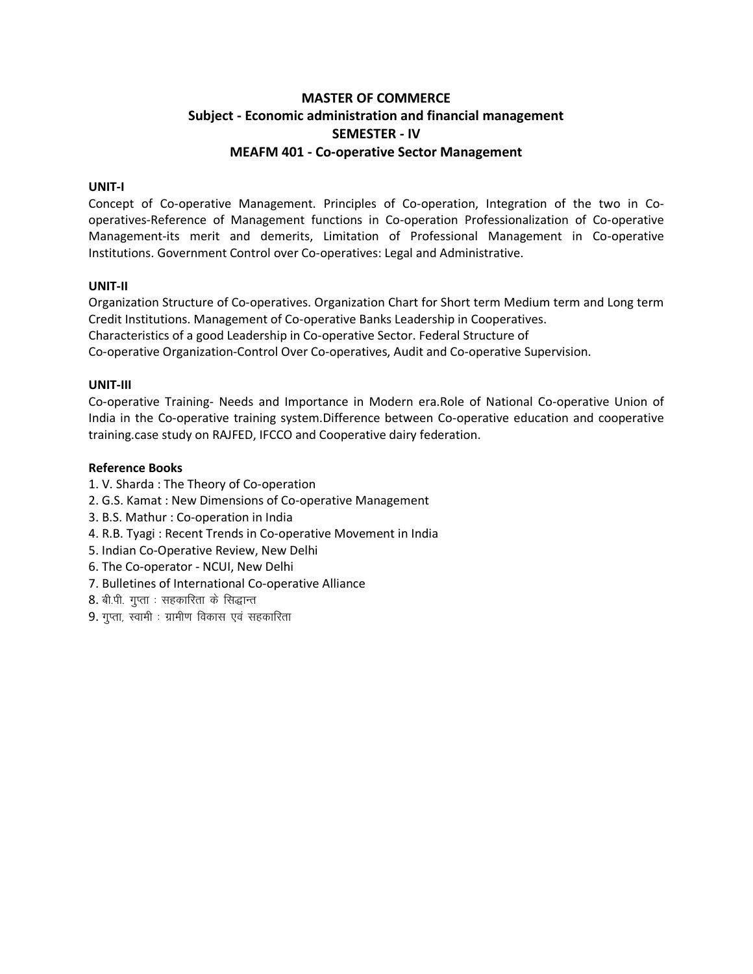## **MASTER OF COMMERCE Subject - Economic administration and financial management SEMESTER - IV MEAFM 401 - Co-operative Sector Management**

#### **UNIT-I**

Concept of Co-operative Management. Principles of Co-operation, Integration of the two in Cooperatives-Reference of Management functions in Co-operation Professionalization of Co-operative Management-its merit and demerits, Limitation of Professional Management in Co-operative Institutions. Government Control over Co-operatives: Legal and Administrative.

#### **UNIT-II**

Organization Structure of Co-operatives. Organization Chart for Short term Medium term and Long term Credit Institutions. Management of Co-operative Banks Leadership in Cooperatives. Characteristics of a good Leadership in Co-operative Sector. Federal Structure of Co-operative Organization-Control Over Co-operatives, Audit and Co-operative Supervision.

#### **UNIT-III**

Co-operative Training- Needs and Importance in Modern era.Role of National Co-operative Union of India in the Co-operative training system.Difference between Co-operative education and cooperative training.case study on RAJFED, IFCCO and Cooperative dairy federation.

- 1. V. Sharda : The Theory of Co-operation
- 2. G.S. Kamat : New Dimensions of Co-operative Management
- 3. B.S. Mathur : Co-operation in India
- 4. R.B. Tyagi : Recent Trends in Co-operative Movement in India
- 5. Indian Co-Operative Review, New Delhi
- 6. The Co-operator NCUI, New Delhi
- 7. Bulletines of International Co-operative Alliance
- 8. बी.पी. गुप्ता : सहकारिता के सिद्धान्त
- $9.$  गुप्ता, स्वामी : ग्रामीण विकास एवं सहकारिता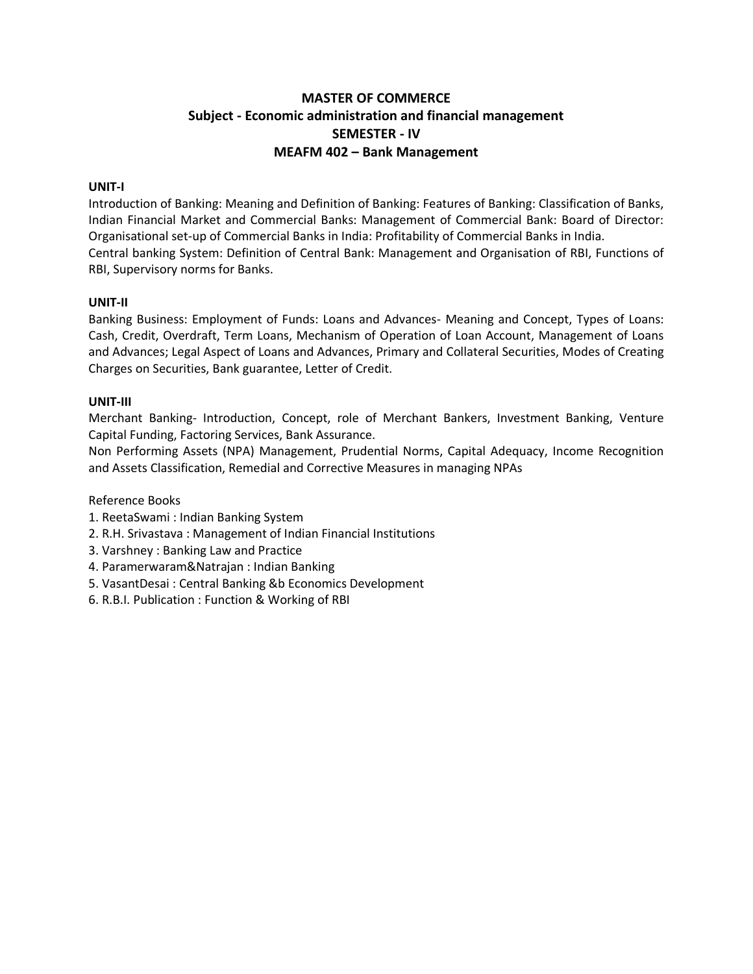## **MASTER OF COMMERCE Subject - Economic administration and financial management SEMESTER - IV MEAFM 402 – Bank Management**

#### **UNIT-I**

Introduction of Banking: Meaning and Definition of Banking: Features of Banking: Classification of Banks, Indian Financial Market and Commercial Banks: Management of Commercial Bank: Board of Director: Organisational set-up of Commercial Banks in India: Profitability of Commercial Banks in India. Central banking System: Definition of Central Bank: Management and Organisation of RBI, Functions of RBI, Supervisory norms for Banks.

#### **UNIT-II**

Banking Business: Employment of Funds: Loans and Advances- Meaning and Concept, Types of Loans: Cash, Credit, Overdraft, Term Loans, Mechanism of Operation of Loan Account, Management of Loans and Advances; Legal Aspect of Loans and Advances, Primary and Collateral Securities, Modes of Creating Charges on Securities, Bank guarantee, Letter of Credit.

#### **UNIT-III**

Merchant Banking- Introduction, Concept, role of Merchant Bankers, Investment Banking, Venture Capital Funding, Factoring Services, Bank Assurance.

Non Performing Assets (NPA) Management, Prudential Norms, Capital Adequacy, Income Recognition and Assets Classification, Remedial and Corrective Measures in managing NPAs

- 1. ReetaSwami : Indian Banking System
- 2. R.H. Srivastava : Management of Indian Financial Institutions
- 3. Varshney : Banking Law and Practice
- 4. Paramerwaram&Natrajan : Indian Banking
- 5. VasantDesai : Central Banking &b Economics Development
- 6. R.B.I. Publication : Function & Working of RBI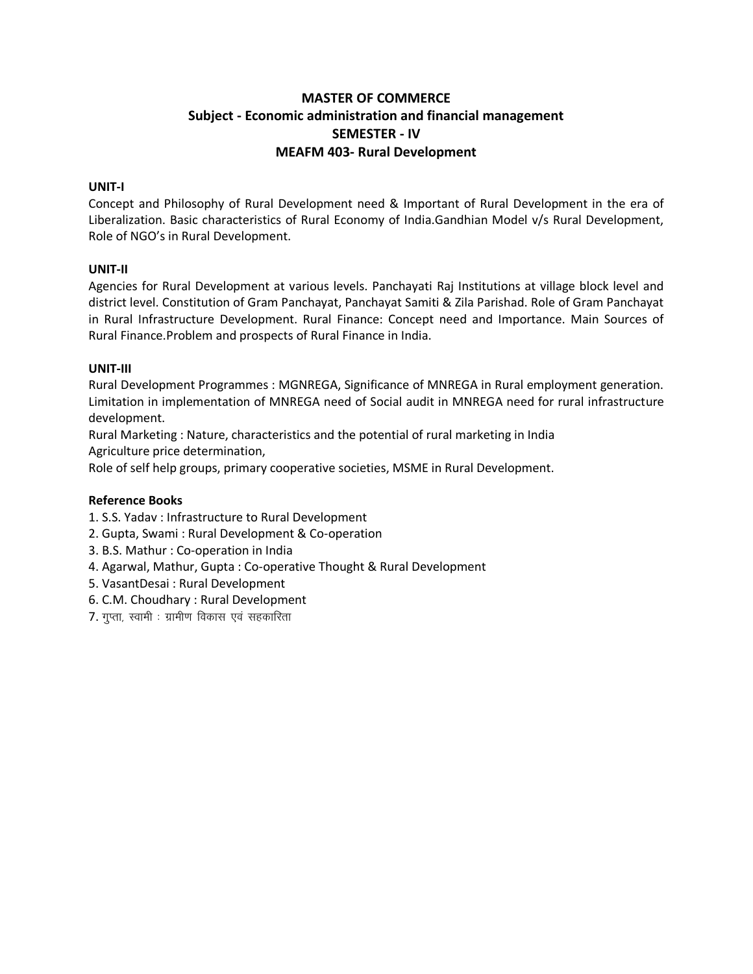## **MASTER OF COMMERCE Subject - Economic administration and financial management SEMESTER - IV MEAFM 403- Rural Development**

#### **UNIT-I**

Concept and Philosophy of Rural Development need & Important of Rural Development in the era of Liberalization. Basic characteristics of Rural Economy of India.Gandhian Model v/s Rural Development, Role of NGO's in Rural Development.

#### **UNIT-II**

Agencies for Rural Development at various levels. Panchayati Raj Institutions at village block level and district level. Constitution of Gram Panchayat, Panchayat Samiti & Zila Parishad. Role of Gram Panchayat in Rural Infrastructure Development. Rural Finance: Concept need and Importance. Main Sources of Rural Finance.Problem and prospects of Rural Finance in India.

#### **UNIT-III**

Rural Development Programmes : MGNREGA, Significance of MNREGA in Rural employment generation. Limitation in implementation of MNREGA need of Social audit in MNREGA need for rural infrastructure development.

Rural Marketing : Nature, characteristics and the potential of rural marketing in India

Agriculture price determination,

Role of self help groups, primary cooperative societies, MSME in Rural Development.

- 1. S.S. Yadav : Infrastructure to Rural Development
- 2. Gupta, Swami : Rural Development & Co-operation
- 3. B.S. Mathur : Co-operation in India
- 4. Agarwal, Mathur, Gupta : Co-operative Thought & Rural Development
- 5. VasantDesai : Rural Development
- 6. C.M. Choudhary : Rural Development
- $7.$  गुप्ता, स्वामी : ग्रामीण विकास एवं सहकारिता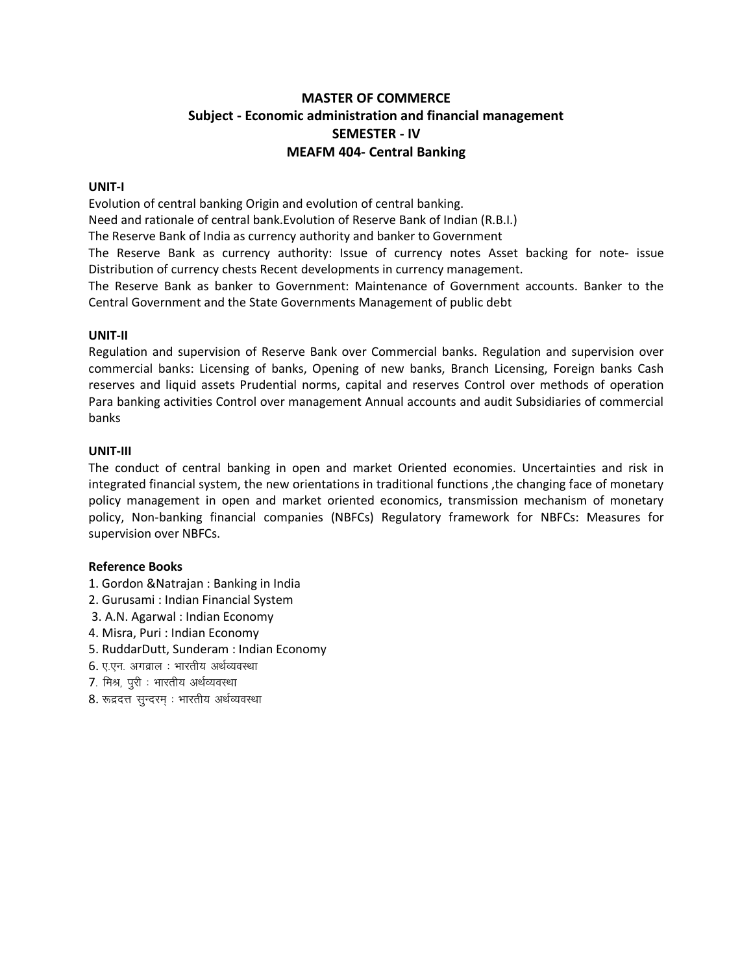## **MASTER OF COMMERCE Subject - Economic administration and financial management SEMESTER - IV MEAFM 404- Central Banking**

#### **UNIT-I**

Evolution of central banking Origin and evolution of central banking.

Need and rationale of central bank.Evolution of Reserve Bank of Indian (R.B.I.)

The Reserve Bank of India as currency authority and banker to Government

The Reserve Bank as currency authority: Issue of currency notes Asset backing for note- issue Distribution of currency chests Recent developments in currency management.

The Reserve Bank as banker to Government: Maintenance of Government accounts. Banker to the Central Government and the State Governments Management of public debt

#### **UNIT-II**

Regulation and supervision of Reserve Bank over Commercial banks. Regulation and supervision over commercial banks: Licensing of banks, Opening of new banks, Branch Licensing, Foreign banks Cash reserves and liquid assets Prudential norms, capital and reserves Control over methods of operation Para banking activities Control over management Annual accounts and audit Subsidiaries of commercial banks

#### **UNIT-III**

The conduct of central banking in open and market Oriented economies. Uncertainties and risk in integrated financial system, the new orientations in traditional functions ,the changing face of monetary policy management in open and market oriented economics, transmission mechanism of monetary policy, Non-banking financial companies (NBFCs) Regulatory framework for NBFCs: Measures for supervision over NBFCs.

- 1. Gordon &Natrajan : Banking in India
- 2. Gurusami : Indian Financial System
- 3. A.N. Agarwal : Indian Economy
- 4. Misra, Puri : Indian Economy
- 5. RuddarDutt, Sunderam : Indian Economy
- 6. ए.एन. अगव्राल : भारतीय अर्थव्यवस्था
- 7. मिश्र, पुरी : भारतीय अर्थव्यवस्था
- 8. रूद्रदत्त सुन्दरम् : भारतीय अर्थव्यवस्था